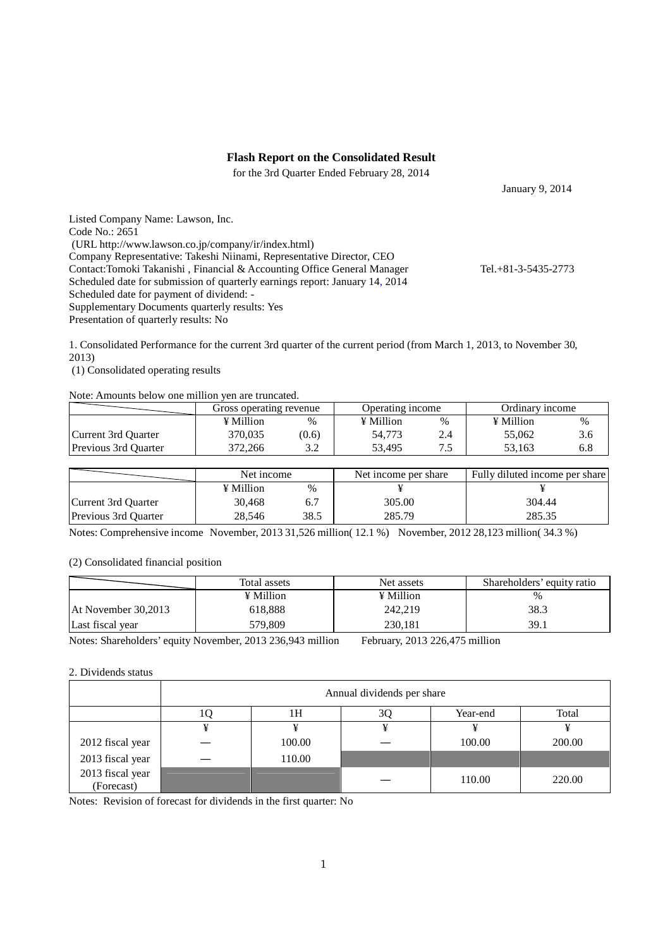## **Flash Report on the Consolidated Result**

for the 3rd Quarter Ended February 28, 2014

January 9, 2014

Listed Company Name: Lawson, Inc. Code No.: 2651 (URL http://www.lawson.co.jp/company/ir/index.html) Company Representative: Takeshi Niinami, Representative Director, CEO Contact:Tomoki Takanishi , Financial & Accounting Office General Manager Tel.+81-3-5435-2773 Scheduled date for submission of quarterly earnings report: January 14, 2014 Scheduled date for payment of dividend: - Supplementary Documents quarterly results: Yes Presentation of quarterly results: No

1. Consolidated Performance for the current 3rd quarter of the current period (from March 1, 2013, to November 30, 2013)

(1) Consolidated operating results

Note: Amounts below one million yen are truncated.

|                      | Gross operating revenue |       | Operating income |     | Ordinary income |      |
|----------------------|-------------------------|-------|------------------|-----|-----------------|------|
|                      | ¥ Million               | $\%$  | ¥ Million        | %   | ¥ Million       | $\%$ |
| Current 3rd Ouarter  | 370.035                 | (0.6) | 54.773           | 2.4 | 55,062          | 3.6  |
| Previous 3rd Ouarter | 372.266                 | ے .   | 53.495           |     | 53.163          | 6.8  |

|                             | Net income |               | Net income per share | Fully diluted income per share |  |
|-----------------------------|------------|---------------|----------------------|--------------------------------|--|
|                             | ¥ Million  | $\frac{0}{0}$ |                      |                                |  |
| Current 3rd Ouarter         | 30.468     |               | 305.00               | 304.44                         |  |
| <b>Previous 3rd Quarter</b> | 28.546     | 38.5          | 285.79               | 285.35                         |  |

Notes: Comprehensive income November, 2013 31,526 million( 12.1 %) November, 2012 28,123 million( 34.3 %)

(2) Consolidated financial position

|                     | Total assets | Net assets | Shareholders' equity ratio |
|---------------------|--------------|------------|----------------------------|
|                     | ¥ Million    | ¥ Million  | $\%$                       |
| At November 30,2013 | 618,888      | 242,219    | 38.3                       |
| Last fiscal year    | 579.809      | 230.181    | 39.1                       |

Notes: Shareholders' equity November, 2013 236,943 million February, 2013 226,475 million

2. Dividends status

|                                | Annual dividends per share |        |    |          |        |  |  |
|--------------------------------|----------------------------|--------|----|----------|--------|--|--|
|                                |                            | 1Н     | 3Q | Year-end | Total  |  |  |
|                                |                            |        | ¥  |          |        |  |  |
| 2012 fiscal year               |                            | 100.00 |    | 100.00   | 200.00 |  |  |
| 2013 fiscal year               |                            | 110.00 |    |          |        |  |  |
| 2013 fiscal year<br>(Forecast) |                            |        |    | 110.00   | 220.00 |  |  |

Notes: Revision of forecast for dividends in the first quarter: No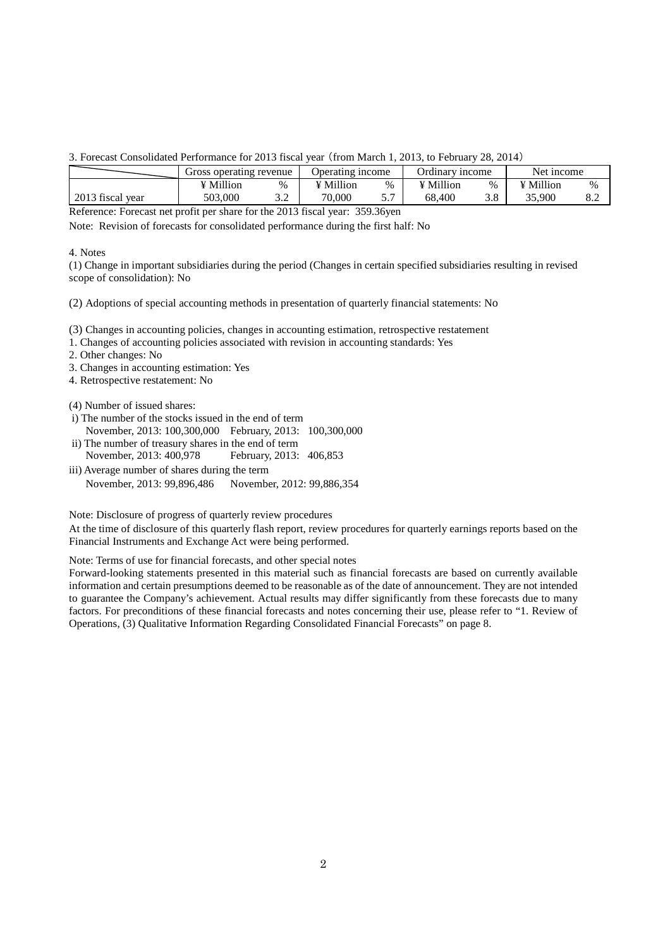3. Forecast Consolidated Performance for 2013 fiscal year (from March 1, 2013, to February 28, 2014)

|                  | Gross operating revenue |      | Operating income |       | Ordinarv income |      | Net income |      |
|------------------|-------------------------|------|------------------|-------|-----------------|------|------------|------|
|                  | ¥ Million               | $\%$ | ¥ Million        | %     | ¥ Million       | $\%$ | ¥ Million  | $\%$ |
| 2013 fiscal year | 503,000                 | ىر ب | 70,000           | ، ، ب | 68.400          | 3.8  | 35.900     | 8.2  |

Reference: Forecast net profit per share for the 2013 fiscal year: 359.36yen

Note: Revision of forecasts for consolidated performance during the first half: No

### 4. Notes

(1) Change in important subsidiaries during the period (Changes in certain specified subsidiaries resulting in revised scope of consolidation): No

(2) Adoptions of special accounting methods in presentation of quarterly financial statements: No

(3) Changes in accounting policies, changes in accounting estimation, retrospective restatement

1. Changes of accounting policies associated with revision in accounting standards: Yes

- 2. Other changes: No
- 3. Changes in accounting estimation: Yes
- 4. Retrospective restatement: No

(4) Number of issued shares:

- i) The number of the stocks issued in the end of term November, 2013: 100,300,000 February, 2013: 100,300,000
- ii) The number of treasury shares in the end of term November, 2013: 400,978 February, 2013: 406,853
- iii) Average number of shares during the term November, 2013: 99,896,486 November, 2012: 99,886,354

Note: Disclosure of progress of quarterly review procedures

At the time of disclosure of this quarterly flash report, review procedures for quarterly earnings reports based on the Financial Instruments and Exchange Act were being performed.

Note: Terms of use for financial forecasts, and other special notes

Forward-looking statements presented in this material such as financial forecasts are based on currently available information and certain presumptions deemed to be reasonable as of the date of announcement. They are not intended to guarantee the Company's achievement. Actual results may differ significantly from these forecasts due to many factors. For preconditions of these financial forecasts and notes concerning their use, please refer to "1. Review of Operations, (3) Qualitative Information Regarding Consolidated Financial Forecasts" on page 8.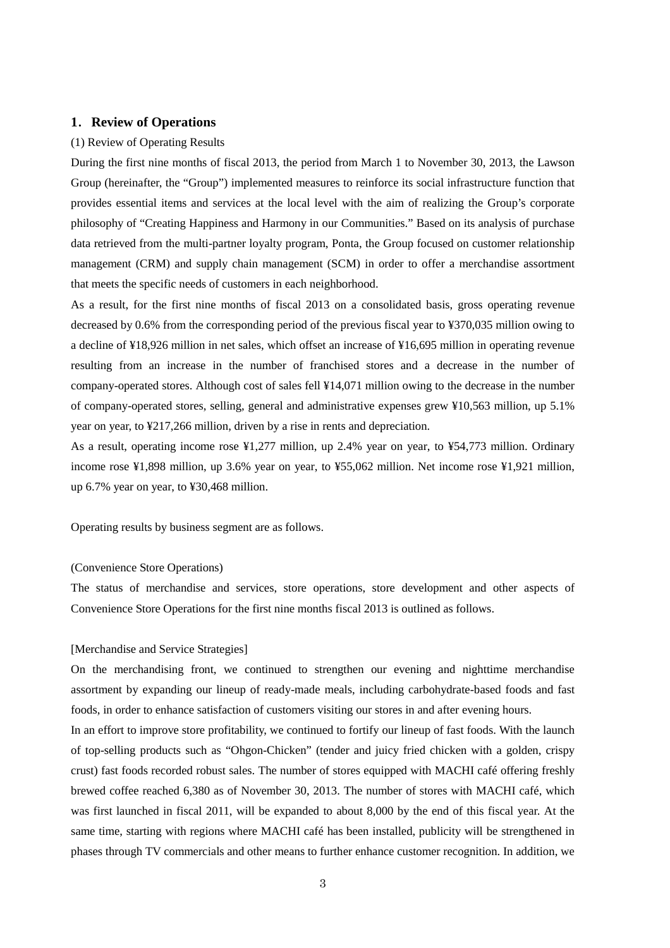# **1**.**Review of Operations**

#### (1) Review of Operating Results

During the first nine months of fiscal 2013, the period from March 1 to November 30, 2013, the Lawson Group (hereinafter, the "Group") implemented measures to reinforce its social infrastructure function that provides essential items and services at the local level with the aim of realizing the Group's corporate philosophy of "Creating Happiness and Harmony in our Communities." Based on its analysis of purchase data retrieved from the multi-partner loyalty program, Ponta, the Group focused on customer relationship management (CRM) and supply chain management (SCM) in order to offer a merchandise assortment that meets the specific needs of customers in each neighborhood.

As a result, for the first nine months of fiscal 2013 on a consolidated basis, gross operating revenue decreased by 0.6% from the corresponding period of the previous fiscal year to ¥370,035 million owing to a decline of ¥18,926 million in net sales, which offset an increase of ¥16,695 million in operating revenue resulting from an increase in the number of franchised stores and a decrease in the number of company-operated stores. Although cost of sales fell ¥14,071 million owing to the decrease in the number of company-operated stores, selling, general and administrative expenses grew ¥10,563 million, up 5.1% year on year, to ¥217,266 million, driven by a rise in rents and depreciation.

As a result, operating income rose ¥1,277 million, up 2.4% year on year, to ¥54,773 million. Ordinary income rose ¥1,898 million, up 3.6% year on year, to ¥55,062 million. Net income rose ¥1,921 million, up 6.7% year on year, to ¥30,468 million.

Operating results by business segment are as follows.

### (Convenience Store Operations)

The status of merchandise and services, store operations, store development and other aspects of Convenience Store Operations for the first nine months fiscal 2013 is outlined as follows.

#### [Merchandise and Service Strategies]

On the merchandising front, we continued to strengthen our evening and nighttime merchandise assortment by expanding our lineup of ready-made meals, including carbohydrate-based foods and fast foods, in order to enhance satisfaction of customers visiting our stores in and after evening hours.

In an effort to improve store profitability, we continued to fortify our lineup of fast foods. With the launch of top-selling products such as "Ohgon-Chicken" (tender and juicy fried chicken with a golden, crispy crust) fast foods recorded robust sales. The number of stores equipped with MACHI café offering freshly brewed coffee reached 6,380 as of November 30, 2013. The number of stores with MACHI café, which was first launched in fiscal 2011, will be expanded to about 8,000 by the end of this fiscal year. At the same time, starting with regions where MACHI café has been installed, publicity will be strengthened in phases through TV commercials and other means to further enhance customer recognition. In addition, we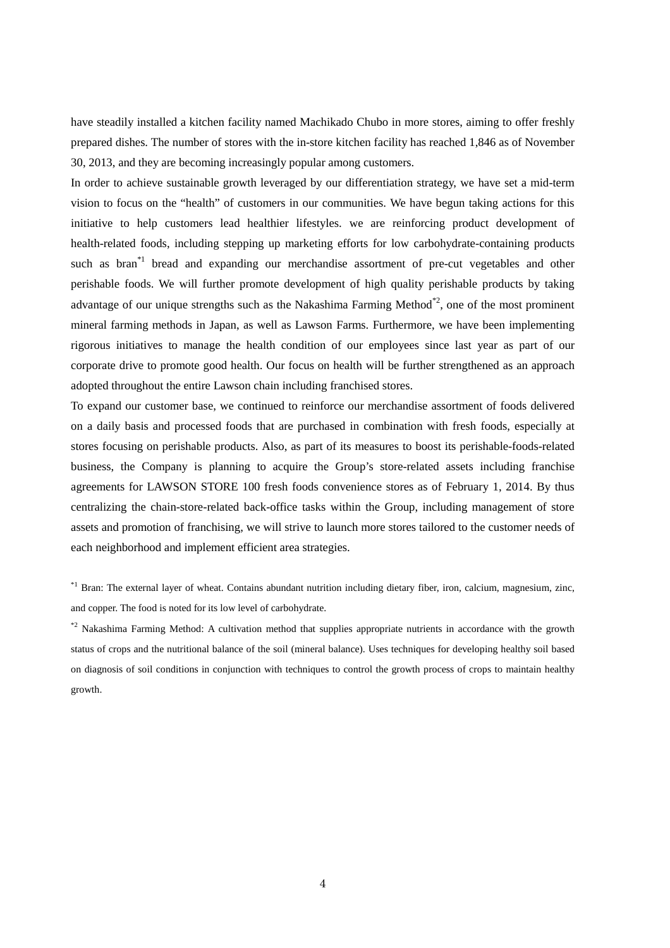have steadily installed a kitchen facility named Machikado Chubo in more stores, aiming to offer freshly prepared dishes. The number of stores with the in-store kitchen facility has reached 1,846 as of November 30, 2013, and they are becoming increasingly popular among customers.

In order to achieve sustainable growth leveraged by our differentiation strategy, we have set a mid-term vision to focus on the "health" of customers in our communities. We have begun taking actions for this initiative to help customers lead healthier lifestyles. we are reinforcing product development of health-related foods, including stepping up marketing efforts for low carbohydrate-containing products such as bran<sup> $*1$ </sup> bread and expanding our merchandise assortment of pre-cut vegetables and other perishable foods. We will further promote development of high quality perishable products by taking advantage of our unique strengths such as the Nakashima Farming Method<sup>\*2</sup>, one of the most prominent mineral farming methods in Japan, as well as Lawson Farms. Furthermore, we have been implementing rigorous initiatives to manage the health condition of our employees since last year as part of our corporate drive to promote good health. Our focus on health will be further strengthened as an approach adopted throughout the entire Lawson chain including franchised stores.

To expand our customer base, we continued to reinforce our merchandise assortment of foods delivered on a daily basis and processed foods that are purchased in combination with fresh foods, especially at stores focusing on perishable products. Also, as part of its measures to boost its perishable-foods-related business, the Company is planning to acquire the Group's store-related assets including franchise agreements for LAWSON STORE 100 fresh foods convenience stores as of February 1, 2014. By thus centralizing the chain-store-related back-office tasks within the Group, including management of store assets and promotion of franchising, we will strive to launch more stores tailored to the customer needs of each neighborhood and implement efficient area strategies.

\*1 Bran: The external layer of wheat. Contains abundant nutrition including dietary fiber, iron, calcium, magnesium, zinc, and copper. The food is noted for its low level of carbohydrate.

\*2 Nakashima Farming Method: A cultivation method that supplies appropriate nutrients in accordance with the growth status of crops and the nutritional balance of the soil (mineral balance). Uses techniques for developing healthy soil based on diagnosis of soil conditions in conjunction with techniques to control the growth process of crops to maintain healthy growth.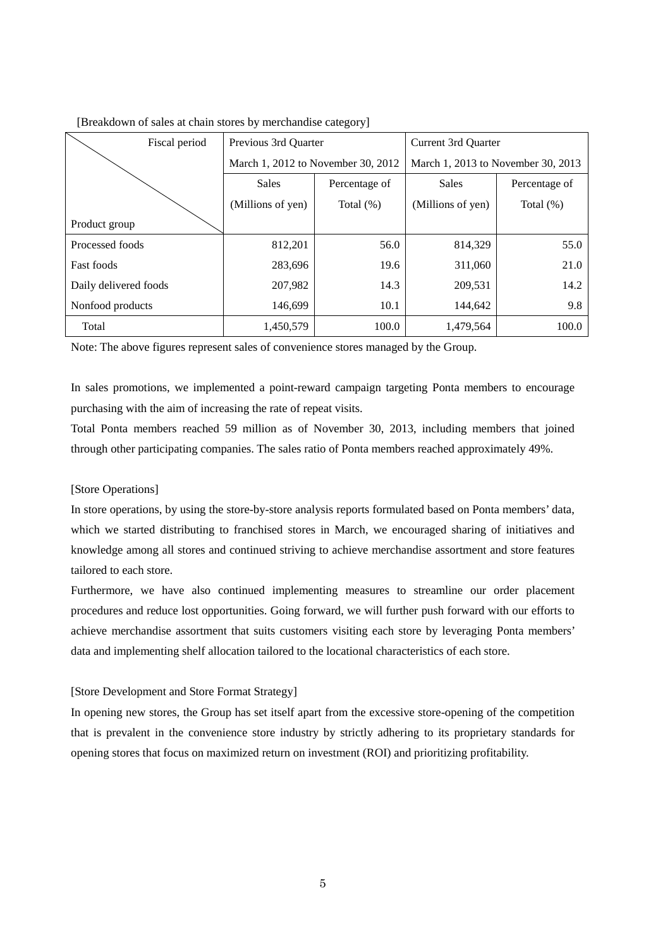| Fiscal period         | Previous 3rd Quarter                                               |                                    | Current 3rd Quarter                |               |  |
|-----------------------|--------------------------------------------------------------------|------------------------------------|------------------------------------|---------------|--|
|                       |                                                                    | March 1, 2012 to November 30, 2012 | March 1, 2013 to November 30, 2013 |               |  |
|                       | <b>Sales</b><br>Percentage of<br>(Millions of yen)<br>Total $(\%)$ |                                    | <b>Sales</b>                       | Percentage of |  |
|                       |                                                                    |                                    | (Millions of yen)                  | Total $(\%)$  |  |
| Product group         |                                                                    |                                    |                                    |               |  |
| Processed foods       | 812,201                                                            | 56.0                               | 814,329                            | 55.0          |  |
| <b>Fast foods</b>     | 283,696                                                            | 19.6                               | 311,060                            | 21.0          |  |
| Daily delivered foods | 207,982                                                            | 14.3                               | 209,531                            | 14.2          |  |
| Nonfood products      | 146,699                                                            | 10.1                               | 144,642                            | 9.8           |  |
| Total                 | 1,450,579                                                          | 100.0                              | 1,479,564                          | 100.0         |  |

[Breakdown of sales at chain stores by merchandise category]

Note: The above figures represent sales of convenience stores managed by the Group.

In sales promotions, we implemented a point-reward campaign targeting Ponta members to encourage purchasing with the aim of increasing the rate of repeat visits.

Total Ponta members reached 59 million as of November 30, 2013, including members that joined through other participating companies. The sales ratio of Ponta members reached approximately 49%.

# [Store Operations]

In store operations, by using the store-by-store analysis reports formulated based on Ponta members' data, which we started distributing to franchised stores in March, we encouraged sharing of initiatives and knowledge among all stores and continued striving to achieve merchandise assortment and store features tailored to each store.

Furthermore, we have also continued implementing measures to streamline our order placement procedures and reduce lost opportunities. Going forward, we will further push forward with our efforts to achieve merchandise assortment that suits customers visiting each store by leveraging Ponta members' data and implementing shelf allocation tailored to the locational characteristics of each store.

## [Store Development and Store Format Strategy]

In opening new stores, the Group has set itself apart from the excessive store-opening of the competition that is prevalent in the convenience store industry by strictly adhering to its proprietary standards for opening stores that focus on maximized return on investment (ROI) and prioritizing profitability.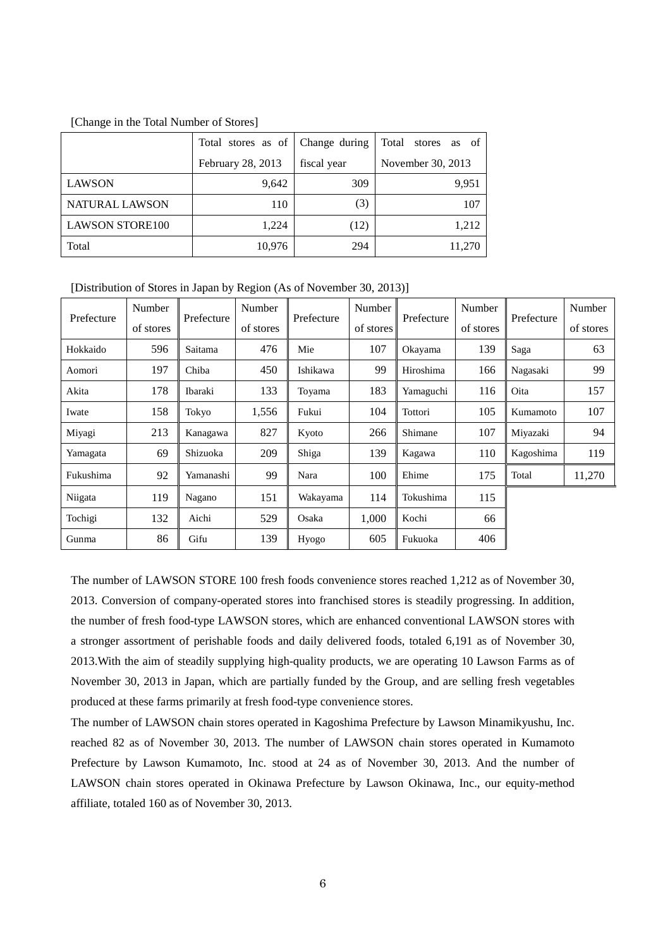### [Change in the Total Number of Stores]

|                        | Total stores as of Change during |             | Total stores as of |
|------------------------|----------------------------------|-------------|--------------------|
|                        | February 28, 2013                | fiscal year | November 30, 2013  |
| <b>LAWSON</b>          | 9,642                            | 309         | 9,951              |
| <b>NATURAL LAWSON</b>  | 110                              | (3)         | 107                |
| <b>LAWSON STORE100</b> | 1,224                            | (12)        | 1,212              |
| Total                  | 10,976                           | 294         |                    |

[Distribution of Stores in Japan by Region (As of November 30, 2013)]

| Prefecture | Number    | Prefecture | Number<br>Prefecture | Number   | Prefecture | Number    | Prefecture | Number    |           |
|------------|-----------|------------|----------------------|----------|------------|-----------|------------|-----------|-----------|
|            | of stores |            | of stores            |          | of stores  |           | of stores  |           | of stores |
| Hokkaido   | 596       | Saitama    | 476                  | Mie      | 107        | Okayama   | 139        | Saga      | 63        |
| Aomori     | 197       | Chiba      | 450                  | Ishikawa | 99         | Hiroshima | 166        | Nagasaki  | 99        |
| Akita      | 178       | Ibaraki    | 133                  | Toyama   | 183        | Yamaguchi | 116        | Oita      | 157       |
| Iwate      | 158       | Tokyo      | 1,556                | Fukui    | 104        | Tottori   | 105        | Kumamoto  | 107       |
| Miyagi     | 213       | Kanagawa   | 827                  | Kyoto    | 266        | Shimane   | 107        | Miyazaki  | 94        |
| Yamagata   | 69        | Shizuoka   | 209                  | Shiga    | 139        | Kagawa    | 110        | Kagoshima | 119       |
| Fukushima  | 92        | Yamanashi  | 99                   | Nara     | 100        | Ehime     | 175        | Total     | 11,270    |
| Niigata    | 119       | Nagano     | 151                  | Wakayama | 114        | Tokushima | 115        |           |           |
| Tochigi    | 132       | Aichi      | 529                  | Osaka    | 1,000      | Kochi     | 66         |           |           |
| Gunma      | 86        | Gifu       | 139                  | Hyogo    | 605        | Fukuoka   | 406        |           |           |

The number of LAWSON STORE 100 fresh foods convenience stores reached 1,212 as of November 30, 2013. Conversion of company-operated stores into franchised stores is steadily progressing. In addition, the number of fresh food-type LAWSON stores, which are enhanced conventional LAWSON stores with a stronger assortment of perishable foods and daily delivered foods, totaled 6,191 as of November 30, 2013.With the aim of steadily supplying high-quality products, we are operating 10 Lawson Farms as of November 30, 2013 in Japan, which are partially funded by the Group, and are selling fresh vegetables produced at these farms primarily at fresh food-type convenience stores.

The number of LAWSON chain stores operated in Kagoshima Prefecture by Lawson Minamikyushu, Inc. reached 82 as of November 30, 2013. The number of LAWSON chain stores operated in Kumamoto Prefecture by Lawson Kumamoto, Inc. stood at 24 as of November 30, 2013. And the number of LAWSON chain stores operated in Okinawa Prefecture by Lawson Okinawa, Inc., our equity-method affiliate, totaled 160 as of November 30, 2013.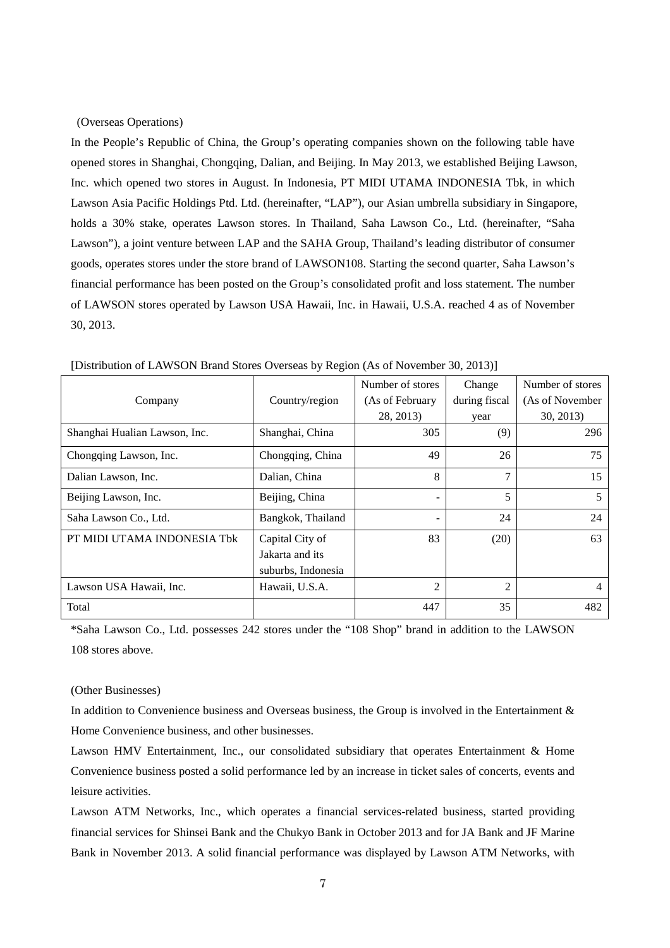(Overseas Operations)

In the People's Republic of China, the Group's operating companies shown on the following table have opened stores in Shanghai, Chongqing, Dalian, and Beijing. In May 2013, we established Beijing Lawson, Inc. which opened two stores in August. In Indonesia, PT MIDI UTAMA INDONESIA Tbk, in which Lawson Asia Pacific Holdings Ptd. Ltd. (hereinafter, "LAP"), our Asian umbrella subsidiary in Singapore, holds a 30% stake, operates Lawson stores. In Thailand, Saha Lawson Co., Ltd. (hereinafter, "Saha Lawson"), a joint venture between LAP and the SAHA Group, Thailand's leading distributor of consumer goods, operates stores under the store brand of LAWSON108. Starting the second quarter, Saha Lawson's financial performance has been posted on the Group's consolidated profit and loss statement. The number of LAWSON stores operated by Lawson USA Hawaii, Inc. in Hawaii, U.S.A. reached 4 as of November 30, 2013.

|                               |                    | Number of stores | Change         | Number of stores |
|-------------------------------|--------------------|------------------|----------------|------------------|
| Company                       | Country/region     | (As of February  | during fiscal  | (As of November  |
|                               |                    | 28, 2013)        | year           | 30, 2013         |
| Shanghai Hualian Lawson, Inc. | Shanghai, China    | 305              | (9)            | 296              |
| Chongqing Lawson, Inc.        | Chongqing, China   | 49               | 26             | 75               |
| Dalian Lawson, Inc.           | Dalian, China      | 8                | 7              | 15               |
| Beijing Lawson, Inc.          | Beijing, China     | ۰                | 5              | 5                |
| Saha Lawson Co., Ltd.         | Bangkok, Thailand  |                  | 24             | 24               |
| PT MIDI UTAMA INDONESIA Tbk   | Capital City of    | 83               | (20)           | 63               |
|                               | Jakarta and its    |                  |                |                  |
|                               | suburbs, Indonesia |                  |                |                  |
| Lawson USA Hawaii, Inc.       | Hawaii, U.S.A.     | $\mathfrak{D}$   | $\overline{2}$ | 4                |
| Total                         |                    | 447              | 35             | 482              |

[Distribution of LAWSON Brand Stores Overseas by Region (As of November 30, 2013)]

\*Saha Lawson Co., Ltd. possesses 242 stores under the "108 Shop" brand in addition to the LAWSON 108 stores above.

#### (Other Businesses)

In addition to Convenience business and Overseas business, the Group is involved in the Entertainment  $\&$ Home Convenience business, and other businesses.

Lawson HMV Entertainment, Inc., our consolidated subsidiary that operates Entertainment & Home Convenience business posted a solid performance led by an increase in ticket sales of concerts, events and leisure activities.

Lawson ATM Networks, Inc., which operates a financial services-related business, started providing financial services for Shinsei Bank and the Chukyo Bank in October 2013 and for JA Bank and JF Marine Bank in November 2013. A solid financial performance was displayed by Lawson ATM Networks, with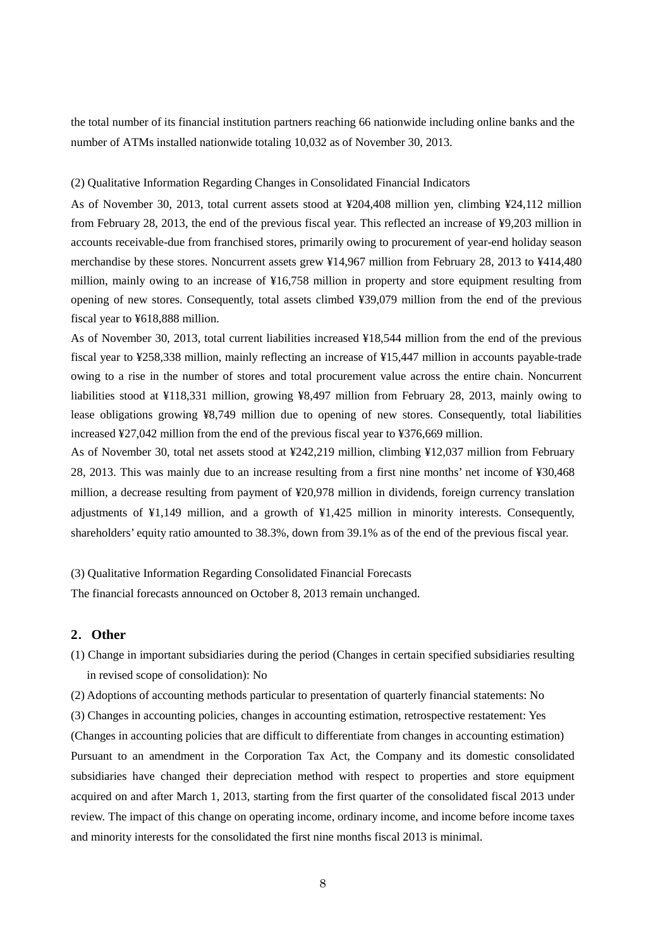the total number of its financial institution partners reaching 66 nationwide including online banks and the number of ATMs installed nationwide totaling 10,032 as of November 30, 2013.

### (2) Qualitative Information Regarding Changes in Consolidated Financial Indicators

As of November 30, 2013, total current assets stood at ¥204,408 million yen, climbing ¥24,112 million from February 28, 2013, the end of the previous fiscal year. This reflected an increase of ¥9,203 million in accounts receivable-due from franchised stores, primarily owing to procurement of year-end holiday season merchandise by these stores. Noncurrent assets grew ¥14,967 million from February 28, 2013 to ¥414,480 million, mainly owing to an increase of ¥16,758 million in property and store equipment resulting from opening of new stores. Consequently, total assets climbed ¥39,079 million from the end of the previous fiscal year to ¥618,888 million.

As of November 30, 2013, total current liabilities increased ¥18,544 million from the end of the previous fiscal year to ¥258,338 million, mainly reflecting an increase of ¥15,447 million in accounts payable-trade owing to a rise in the number of stores and total procurement value across the entire chain. Noncurrent liabilities stood at ¥118,331 million, growing ¥8,497 million from February 28, 2013, mainly owing to lease obligations growing ¥8,749 million due to opening of new stores. Consequently, total liabilities increased ¥27,042 million from the end of the previous fiscal year to ¥376,669 million.

As of November 30, total net assets stood at ¥242,219 million, climbing ¥12,037 million from February 28, 2013. This was mainly due to an increase resulting from a first nine months' net income of ¥30,468 million, a decrease resulting from payment of ¥20,978 million in dividends, foreign currency translation adjustments of ¥1,149 million, and a growth of ¥1,425 million in minority interests. Consequently, shareholders' equity ratio amounted to 38.3%, down from 39.1% as of the end of the previous fiscal year.

(3) Qualitative Information Regarding Consolidated Financial Forecasts The financial forecasts announced on October 8, 2013 remain unchanged.

## **2**.**Other**

- (1) Change in important subsidiaries during the period (Changes in certain specified subsidiaries resulting in revised scope of consolidation): No
- (2) Adoptions of accounting methods particular to presentation of quarterly financial statements: No

(3) Changes in accounting policies, changes in accounting estimation, retrospective restatement: Yes (Changes in accounting policies that are difficult to differentiate from changes in accounting estimation) Pursuant to an amendment in the Corporation Tax Act, the Company and its domestic consolidated subsidiaries have changed their depreciation method with respect to properties and store equipment acquired on and after March 1, 2013, starting from the first quarter of the consolidated fiscal 2013 under review. The impact of this change on operating income, ordinary income, and income before income taxes and minority interests for the consolidated the first nine months fiscal 2013 is minimal.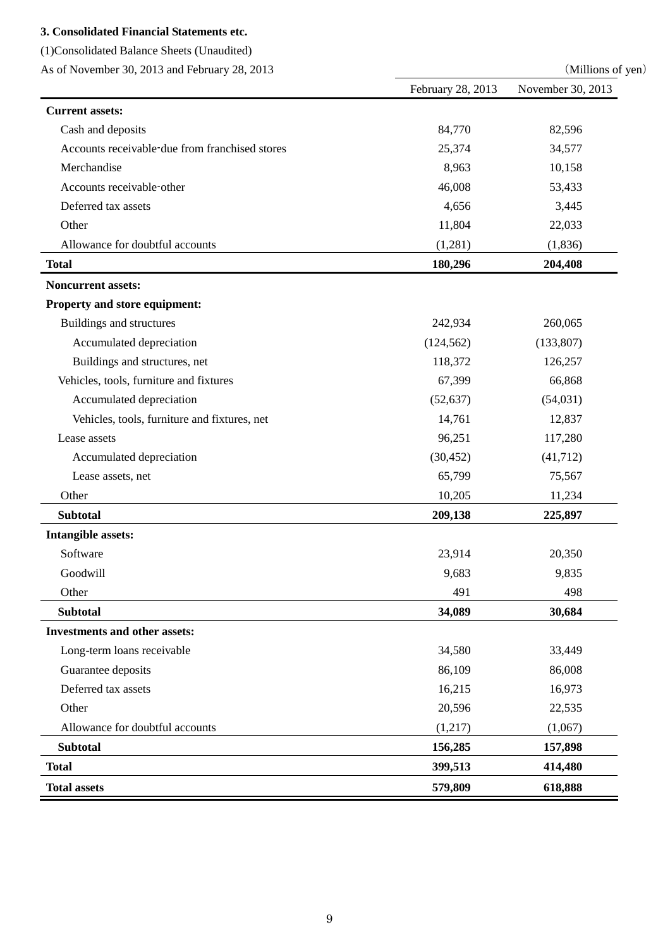# **3. Consolidated Financial Statements etc.**

(1)Consolidated Balance Sheets (Unaudited)

As of November 30, 2013 and February 28, 2013 (Millions of yen)

|                                                | February 28, 2013 | November 30, 2013 |
|------------------------------------------------|-------------------|-------------------|
| <b>Current assets:</b>                         |                   |                   |
| Cash and deposits                              | 84,770            | 82,596            |
| Accounts receivable-due from franchised stores | 25,374            | 34,577            |
| Merchandise                                    | 8,963             | 10,158            |
| Accounts receivable-other                      | 46,008            | 53,433            |
| Deferred tax assets                            | 4,656             | 3,445             |
| Other                                          | 11,804            | 22,033            |
| Allowance for doubtful accounts                | (1,281)           | (1, 836)          |
| <b>Total</b>                                   | 180,296           | 204,408           |
| <b>Noncurrent assets:</b>                      |                   |                   |
| Property and store equipment:                  |                   |                   |
| Buildings and structures                       | 242,934           | 260,065           |
| Accumulated depreciation                       | (124, 562)        | (133, 807)        |
| Buildings and structures, net                  | 118,372           | 126,257           |
| Vehicles, tools, furniture and fixtures        | 67,399            | 66,868            |
| Accumulated depreciation                       | (52, 637)         | (54,031)          |
| Vehicles, tools, furniture and fixtures, net   | 14,761            | 12,837            |
| Lease assets                                   | 96,251            | 117,280           |
| Accumulated depreciation                       | (30, 452)         | (41, 712)         |
| Lease assets, net                              | 65,799            | 75,567            |
| Other                                          | 10,205            | 11,234            |
| <b>Subtotal</b>                                | 209,138           | 225,897           |
| <b>Intangible assets:</b>                      |                   |                   |
| Software                                       | 23,914            | 20,350            |
| Goodwill                                       | 9,683             | 9,835             |
| Other                                          | 491               | 498               |
| <b>Subtotal</b>                                | 34,089            | 30,684            |
| <b>Investments and other assets:</b>           |                   |                   |
| Long-term loans receivable                     | 34,580            | 33,449            |
| Guarantee deposits                             | 86,109            | 86,008            |
| Deferred tax assets                            | 16,215            | 16,973            |
| Other                                          | 20,596            | 22,535            |
| Allowance for doubtful accounts                | (1,217)           | (1,067)           |
| <b>Subtotal</b>                                | 156,285           | 157,898           |
| <b>Total</b>                                   | 399,513           | 414,480           |
| <b>Total assets</b>                            | 579,809           | 618,888           |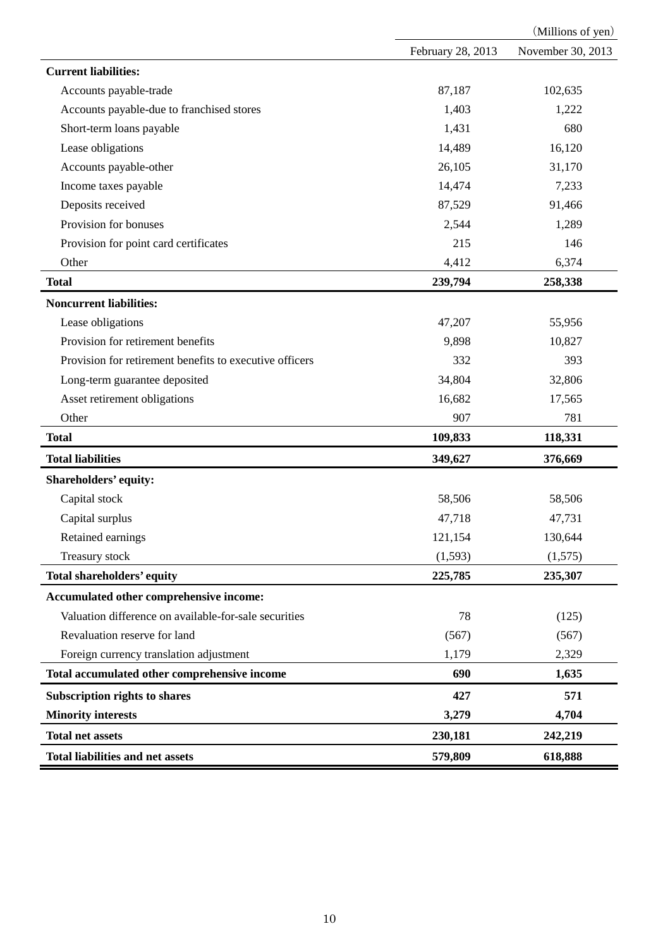|                                                         |                   | (Millions of yen) |
|---------------------------------------------------------|-------------------|-------------------|
|                                                         | February 28, 2013 | November 30, 2013 |
| <b>Current liabilities:</b>                             |                   |                   |
| Accounts payable-trade                                  | 87,187            | 102,635           |
| Accounts payable-due to franchised stores               | 1,403             | 1,222             |
| Short-term loans payable                                | 1,431             | 680               |
| Lease obligations                                       | 14,489            | 16,120            |
| Accounts payable-other                                  | 26,105            | 31,170            |
| Income taxes payable                                    | 14,474            | 7,233             |
| Deposits received                                       | 87,529            | 91,466            |
| Provision for bonuses                                   | 2,544             | 1,289             |
| Provision for point card certificates                   | 215               | 146               |
| Other                                                   | 4,412             | 6,374             |
| <b>Total</b>                                            | 239,794           | 258,338           |
| <b>Noncurrent liabilities:</b>                          |                   |                   |
| Lease obligations                                       | 47,207            | 55,956            |
| Provision for retirement benefits                       | 9,898             | 10,827            |
| Provision for retirement benefits to executive officers | 332               | 393               |
| Long-term guarantee deposited                           | 34,804            | 32,806            |
| Asset retirement obligations                            | 16,682            | 17,565            |
| Other                                                   | 907               | 781               |
| <b>Total</b>                                            | 109,833           | 118,331           |
| <b>Total liabilities</b>                                | 349,627           | 376,669           |
| Shareholders' equity:                                   |                   |                   |
| Capital stock                                           | 58,506            | 58,506            |
| Capital surplus                                         | 47,718            | 47,731            |
| Retained earnings                                       | 121,154           | 130,644           |
| Treasury stock                                          | (1, 593)          | (1,575)           |
| <b>Total shareholders' equity</b>                       | 225,785           | 235,307           |
| Accumulated other comprehensive income:                 |                   |                   |
| Valuation difference on available-for-sale securities   | 78                | (125)             |
| Revaluation reserve for land                            | (567)             | (567)             |
| Foreign currency translation adjustment                 | 1,179             | 2,329             |
| Total accumulated other comprehensive income            | 690               | 1,635             |
| <b>Subscription rights to shares</b>                    | 427               | 571               |
| <b>Minority interests</b>                               | 3,279             | 4,704             |
| <b>Total net assets</b>                                 | 230,181           | 242,219           |
| <b>Total liabilities and net assets</b>                 | 579,809           | 618,888           |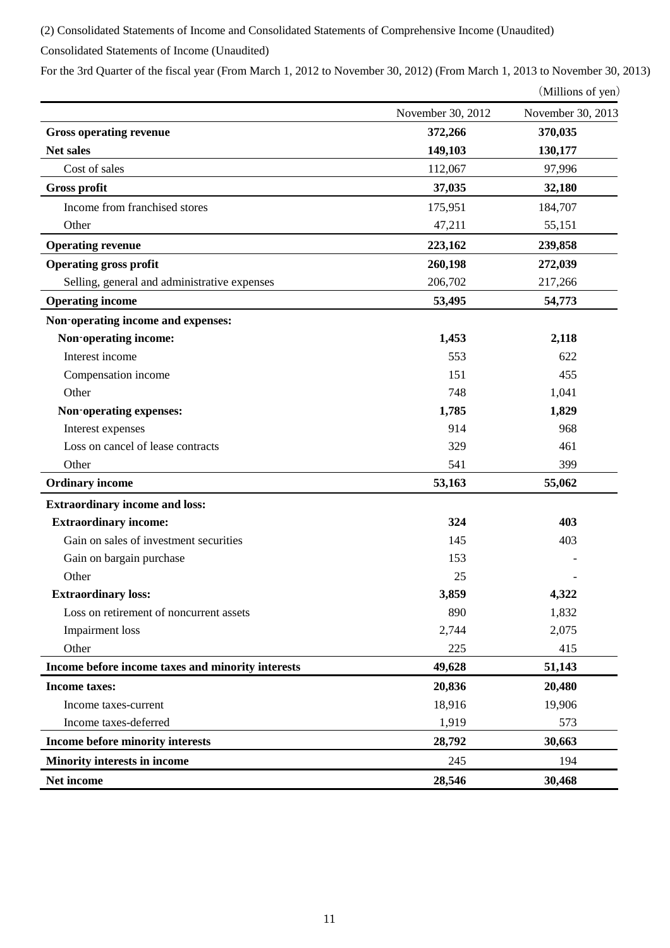(2) Consolidated Statements of Income and Consolidated Statements of Comprehensive Income (Unaudited)

Consolidated Statements of Income (Unaudited)

For the 3rd Quarter of the fiscal year (From March 1, 2012 to November 30, 2012) (From March 1, 2013 to November 30, 2013)

|                                                   |                   | (Millions of yen) |
|---------------------------------------------------|-------------------|-------------------|
|                                                   | November 30, 2012 | November 30, 2013 |
| <b>Gross operating revenue</b>                    | 372,266           | 370,035           |
| <b>Net sales</b>                                  | 149,103           | 130,177           |
| Cost of sales                                     | 112,067           | 97,996            |
| <b>Gross profit</b>                               | 37,035            | 32,180            |
| Income from franchised stores                     | 175,951           | 184,707           |
| Other                                             | 47,211            | 55,151            |
| <b>Operating revenue</b>                          | 223,162           | 239,858           |
| <b>Operating gross profit</b>                     | 260,198           | 272,039           |
| Selling, general and administrative expenses      | 206,702           | 217,266           |
| <b>Operating income</b>                           | 53,495            | 54,773            |
| Non-operating income and expenses:                |                   |                   |
| Non-operating income:                             | 1,453             | 2,118             |
| Interest income                                   | 553               | 622               |
| Compensation income                               | 151               | 455               |
| Other                                             | 748               | 1,041             |
| Non-operating expenses:                           | 1,785             | 1,829             |
| Interest expenses                                 | 914               | 968               |
| Loss on cancel of lease contracts                 | 329               | 461               |
| Other                                             | 541               | 399               |
| <b>Ordinary income</b>                            | 53,163            | 55,062            |
| <b>Extraordinary income and loss:</b>             |                   |                   |
| <b>Extraordinary income:</b>                      | 324               | 403               |
| Gain on sales of investment securities            | 145               | 403               |
| Gain on bargain purchase                          | 153               |                   |
| Other                                             | 25                |                   |
| <b>Extraordinary loss:</b>                        | 3,859             | 4,322             |
| Loss on retirement of noncurrent assets           | 890               | 1,832             |
| Impairment loss                                   | 2,744             | 2,075             |
| Other                                             | 225               | 415               |
| Income before income taxes and minority interests | 49,628            | 51,143            |
| <b>Income taxes:</b>                              | 20,836            | 20,480            |
| Income taxes-current                              | 18,916            | 19,906            |
| Income taxes-deferred                             | 1,919             | 573               |
| Income before minority interests                  | 28,792            | 30,663            |
| Minority interests in income                      | 245               | 194               |
| Net income                                        | 28,546            | 30,468            |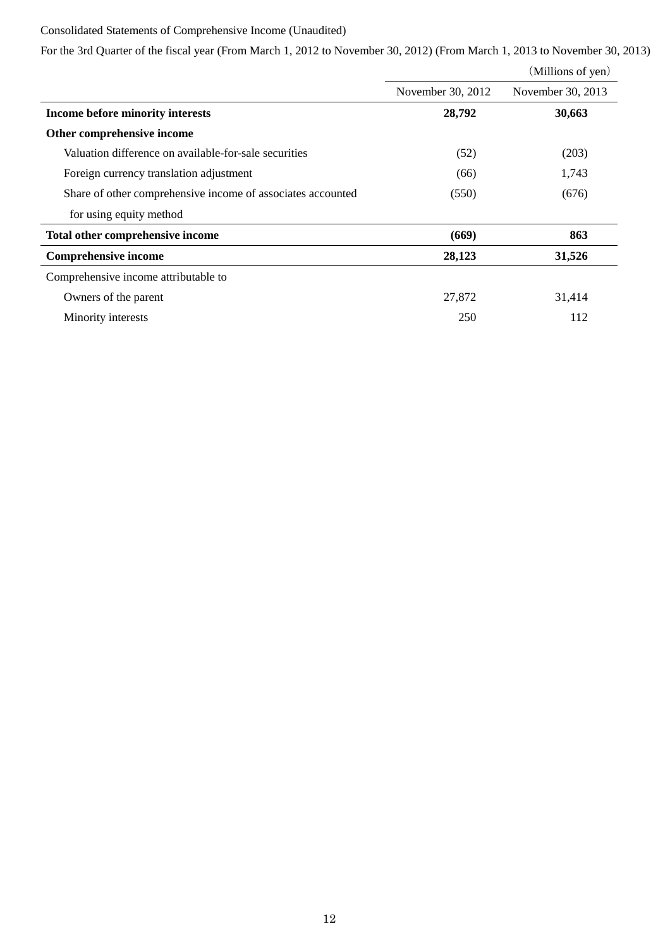# Consolidated Statements of Comprehensive Income (Unaudited)

For the 3rd Quarter of the fiscal year (From March 1, 2012 to November 30, 2012) (From March 1, 2013 to November 30, 2013)

|                                                             |                   | (Millions of yen) |
|-------------------------------------------------------------|-------------------|-------------------|
|                                                             | November 30, 2012 | November 30, 2013 |
| Income before minority interests                            | 28,792            | 30,663            |
| Other comprehensive income                                  |                   |                   |
| Valuation difference on available-for-sale securities       | (52)              | (203)             |
| Foreign currency translation adjustment                     | (66)              | 1,743             |
| Share of other comprehensive income of associates accounted | (550)             | (676)             |
| for using equity method                                     |                   |                   |
| Total other comprehensive income                            | (669)             | 863               |
| <b>Comprehensive income</b>                                 | 28,123            | 31,526            |
| Comprehensive income attributable to                        |                   |                   |
| Owners of the parent                                        | 27,872            | 31,414            |
| Minority interests                                          | 250               | 112               |